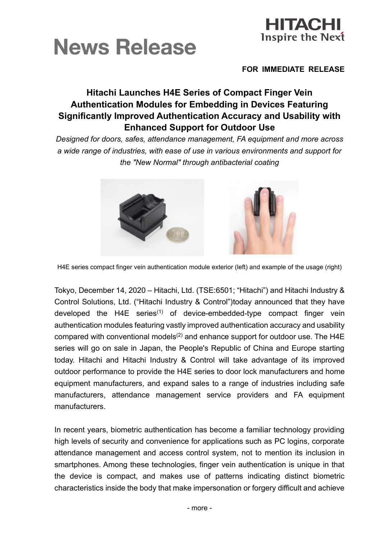



#### **FOR IMMEDIATE RELEASE**

# **Hitachi Launches H4E Series of Compact Finger Vein Authentication Modules for Embedding in Devices Featuring Significantly Improved Authentication Accuracy and Usability with Enhanced Support for Outdoor Use**

*Designed for doors, safes, attendance management, FA equipment and more across a wide range of industries, with ease of use in various environments and support for the "New Normal" through antibacterial coating*



H4E series compact finger vein authentication module exterior (left) and example of the usage (right)

Tokyo, December 14, 2020 – Hitachi, Ltd. (TSE:6501; "Hitachi") and Hitachi Industry & Control Solutions, Ltd. ("Hitachi Industry & Control")today announced that they have developed the H4E series<sup>(1)</sup> of device-embedded-type compact finger vein authentication modules featuring vastly improved authentication accuracy and usability compared with conventional models<sup>(2)</sup> and enhance support for outdoor use. The H4E series will go on sale in Japan, the People's Republic of China and Europe starting today. Hitachi and Hitachi Industry & Control will take advantage of its improved outdoor performance to provide the H4E series to door lock manufacturers and home equipment manufacturers, and expand sales to a range of industries including safe manufacturers, attendance management service providers and FA equipment manufacturers.

In recent years, biometric authentication has become a familiar technology providing high levels of security and convenience for applications such as PC logins, corporate attendance management and access control system, not to mention its inclusion in smartphones. Among these technologies, finger vein authentication is unique in that the device is compact, and makes use of patterns indicating distinct biometric characteristics inside the body that make impersonation or forgery difficult and achieve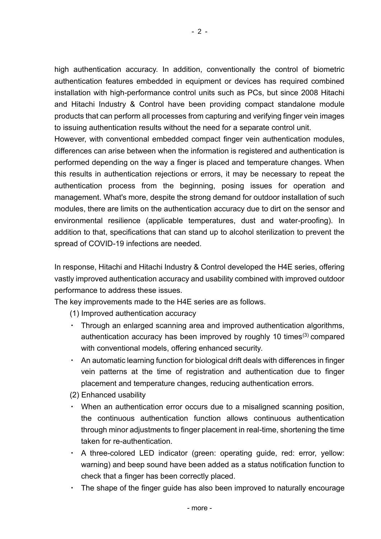high authentication accuracy. In addition, conventionally the control of biometric authentication features embedded in equipment or devices has required combined installation with high-performance control units such as PCs, but since 2008 Hitachi and Hitachi Industry & Control have been providing compact standalone module products that can perform all processes from capturing and verifying finger vein images to issuing authentication results without the need for a separate control unit.

However, with conventional embedded compact finger vein authentication modules, differences can arise between when the information is registered and authentication is performed depending on the way a finger is placed and temperature changes. When this results in authentication rejections or errors, it may be necessary to repeat the authentication process from the beginning, posing issues for operation and management. What's more, despite the strong demand for outdoor installation of such modules, there are limits on the authentication accuracy due to dirt on the sensor and environmental resilience (applicable temperatures, dust and water-proofing). In addition to that, specifications that can stand up to alcohol sterilization to prevent the spread of COVID-19 infections are needed.

In response, Hitachi and Hitachi Industry & Control developed the H4E series, offering vastly improved authentication accuracy and usability combined with improved outdoor performance to address these issues.

The key improvements made to the H4E series are as follows.

(1) Improved authentication accuracy

- ・ Through an enlarged scanning area and improved authentication algorithms, authentication accuracy has been improved by roughly 10 times<sup>(3)</sup> compared with conventional models, offering enhanced security.
- An automatic learning function for biological drift deals with differences in finger vein patterns at the time of registration and authentication due to finger placement and temperature changes, reducing authentication errors.
- (2) Enhanced usability
- When an authentication error occurs due to a misaligned scanning position, the continuous authentication function allows continuous authentication through minor adjustments to finger placement in real-time, shortening the time taken for re-authentication.
- A three-colored LED indicator (green: operating guide, red: error, yellow: warning) and beep sound have been added as a status notification function to check that a finger has been correctly placed.
- The shape of the finger guide has also been improved to naturally encourage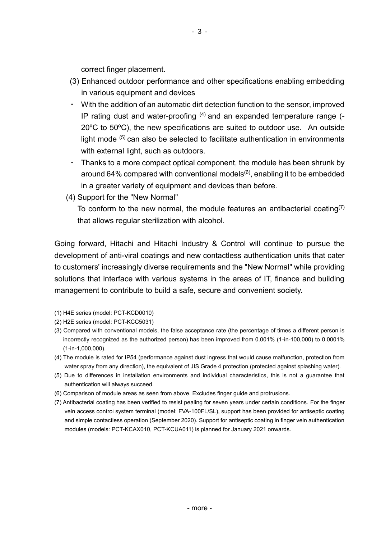correct finger placement.

- (3) Enhanced outdoor performance and other specifications enabling embedding in various equipment and devices
- ・ With the addition of an automatic dirt detection function to the sensor, improved IP rating dust and water-proofing  $(4)$  and an expanded temperature range  $(-1)$ 20ºC to 50ºC), the new specifications are suited to outdoor use. An outside light mode  $(5)$  can also be selected to facilitate authentication in environments with external light, such as outdoors.
- Thanks to a more compact optical component, the module has been shrunk by around 64% compared with conventional models<sup>(6)</sup>, enabling it to be embedded in a greater variety of equipment and devices than before.
- (4) Support for the "New Normal"

To conform to the new normal, the module features an antibacterial coating<sup>(7)</sup> that allows regular sterilization with alcohol.

Going forward, Hitachi and Hitachi Industry & Control will continue to pursue the development of anti-viral coatings and new contactless authentication units that cater to customers' increasingly diverse requirements and the "New Normal" while providing solutions that interface with various systems in the areas of IT, finance and building management to contribute to build a safe, secure and convenient society.

- (1) H4E series (model: PCT-KCD0010)
- (2) H2E series (model: PCT-KCC5031)
- (3) Compared with conventional models, the false acceptance rate (the percentage of times a different person is incorrectly recognized as the authorized person) has been improved from 0.001% (1-in-100,000) to 0.0001% (1-in-1,000,000).
- (4) The module is rated for IP54 (performance against dust ingress that would cause malfunction, protection from water spray from any direction), the equivalent of JIS Grade 4 protection (protected against splashing water).
- (5) Due to differences in installation environments and individual characteristics, this is not a guarantee that authentication will always succeed.
- (6) Comparison of module areas as seen from above. Excludes finger guide and protrusions.
- (7) Antibacterial coating has been verified to resist pealing for seven years under certain conditions. For the finger vein access control system terminal (model: FVA-100FL/SL), support has been provided for antiseptic coating and simple contactless operation (September 2020). Support for antiseptic coating in finger vein authentication modules (models: PCT-KCAX010, PCT-KCUA011) is planned for January 2021 onwards.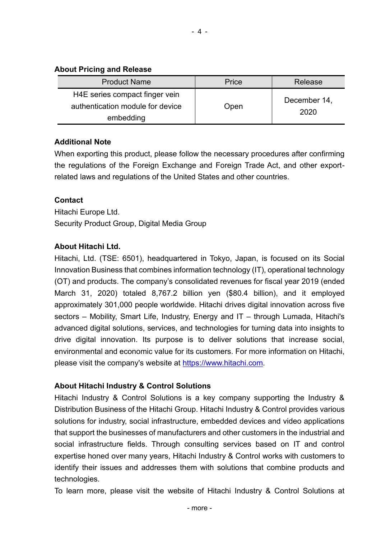#### **About Pricing and Release**

| <b>Product Name</b>                                                             | Price | Release              |
|---------------------------------------------------------------------------------|-------|----------------------|
| H4E series compact finger vein<br>authentication module for device<br>embedding | Open  | December 14,<br>2020 |

### **Additional Note**

When exporting this product, please follow the necessary procedures after confirming the regulations of the Foreign Exchange and Foreign Trade Act, and other exportrelated laws and regulations of the United States and other countries.

### **Contact**

Hitachi Europe Ltd. Security Product Group, Digital Media Group

### **About Hitachi Ltd.**

Hitachi, Ltd. (TSE: 6501), headquartered in Tokyo, Japan, is focused on its Social Innovation Business that combines information technology (IT), operational technology (OT) and products. The company's consolidated revenues for fiscal year 2019 (ended March 31, 2020) totaled 8,767.2 billion yen (\$80.4 billion), and it employed approximately 301,000 people worldwide. Hitachi drives digital innovation across five sectors – Mobility, Smart Life, Industry, Energy and IT – through Lumada, Hitachi's advanced digital solutions, services, and technologies for turning data into insights to drive digital innovation. Its purpose is to deliver solutions that increase social, environmental and economic value for its customers. For more information on Hitachi, please visit the company's website at [https://www.hitachi.com.](https://www.hitachi.com/)

## **About Hitachi Industry & Control Solutions**

Hitachi Industry & Control Solutions is a key company supporting the Industry & Distribution Business of the Hitachi Group. Hitachi Industry & Control provides various solutions for industry, social infrastructure, embedded devices and video applications that support the businesses of manufacturers and other customers in the industrial and social infrastructure fields. Through consulting services based on IT and control expertise honed over many years, Hitachi Industry & Control works with customers to identify their issues and addresses them with solutions that combine products and technologies.

To learn more, please visit the website of Hitachi Industry & Control Solutions at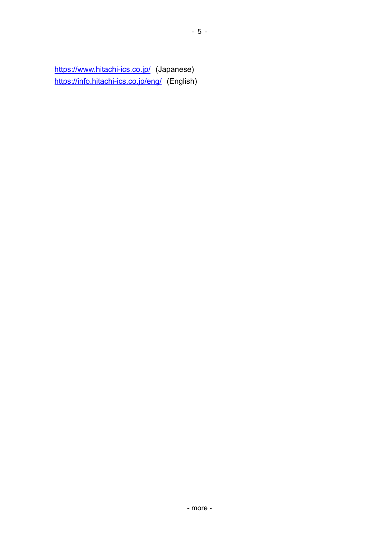<https://www.hitachi-ics.co.jp/> (Japanese) <https://info.hitachi-ics.co.jp/eng/> (English)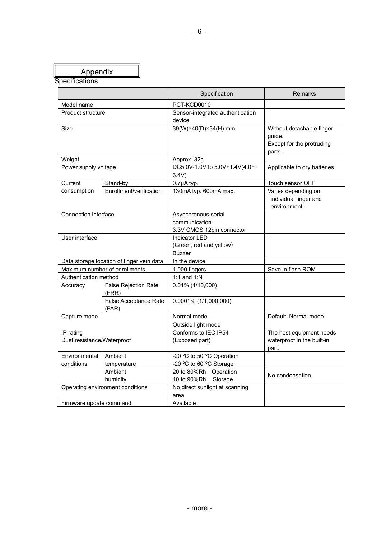| Appendix                                |                                           |                                                                   |                                                                            |
|-----------------------------------------|-------------------------------------------|-------------------------------------------------------------------|----------------------------------------------------------------------------|
| Specifications                          |                                           |                                                                   |                                                                            |
|                                         |                                           | Specification                                                     | Remarks                                                                    |
| Model name                              |                                           | PCT-KCD0010                                                       |                                                                            |
| <b>Product structure</b>                |                                           | Sensor-integrated authentication<br>device                        |                                                                            |
| Size                                    |                                           | 39(W)×40(D)×34(H) mm                                              | Without detachable finger<br>guide.<br>Except for the protruding<br>parts. |
| Weight                                  |                                           | Approx. 32g                                                       |                                                                            |
| Power supply voltage                    |                                           | DC5.0V-1.0V to 5.0V+1.4V(4.0~<br>6.4V                             | Applicable to dry batteries                                                |
| Current                                 | Stand-by                                  | 0.7µA typ.                                                        | Touch sensor OFF                                                           |
| consumption                             | Enrollment/verification                   | 130mA typ. 600mA max.                                             | Varies depending on<br>individual finger and<br>environment                |
| Connection interface                    |                                           | Asynchronous serial<br>communication<br>3.3V CMOS 12pin connector |                                                                            |
| User interface                          |                                           | <b>Indicator LED</b><br>(Green, red and yellow)<br><b>Buzzer</b>  |                                                                            |
|                                         | Data storage location of finger vein data | In the device                                                     |                                                                            |
| Maximum number of enrollments           |                                           | 1,000 fingers                                                     | Save in flash ROM                                                          |
| Authentication method                   |                                           | 1:1 and $1:N$                                                     |                                                                            |
| Accuracy                                | <b>False Rejection Rate</b><br>(FRR)      | $0.01\%$ (1/10,000)                                               |                                                                            |
|                                         | False Acceptance Rate<br>(FAR)            | 0.0001% (1/1,000,000)                                             |                                                                            |
| Capture mode                            |                                           | Normal mode<br>Outside light mode                                 | Default: Normal mode                                                       |
| IP rating<br>Dust resistance/Waterproof |                                           | Conforms to IEC IP54<br>(Exposed part)                            | The host equipment needs<br>waterproof in the built-in<br>part.            |
| Environmental<br>conditions             | Ambient<br>temperature                    | -20 °C to 50 °C Operation<br>-20 °C to 60 °C Storage              |                                                                            |
|                                         | Ambient<br>humidity                       | 20 to 80%Rh<br>Operation<br>10 to 90%Rh<br>Storage                | No condensation                                                            |
| Operating environment conditions        |                                           | No direct sunlight at scanning<br>area                            |                                                                            |
| Firmware update command                 |                                           | Available                                                         |                                                                            |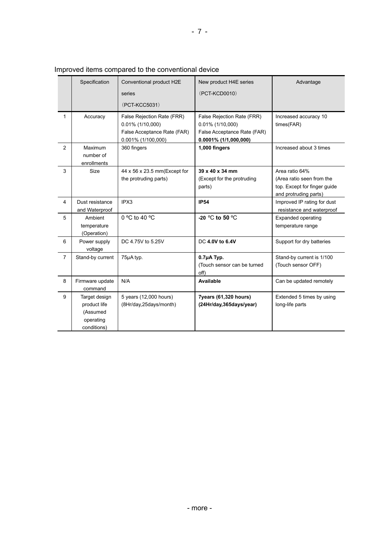|                | Specification                                                         | Conventional product H2E                                                                               | New product H4E series                                                                                       | Advantage                                                                                            |
|----------------|-----------------------------------------------------------------------|--------------------------------------------------------------------------------------------------------|--------------------------------------------------------------------------------------------------------------|------------------------------------------------------------------------------------------------------|
|                |                                                                       | series                                                                                                 | (PCT-KCD0010)                                                                                                |                                                                                                      |
|                |                                                                       | (PCT-KCC5031)                                                                                          |                                                                                                              |                                                                                                      |
| 1              | Accuracy                                                              | False Rejection Rate (FRR)<br>$0.01\%$ (1/10,000)<br>False Acceptance Rate (FAR)<br>0.001% (1/100,000) | False Rejection Rate (FRR)<br>$0.01\%$ (1/10,000)<br>False Acceptance Rate (FAR)<br>$0.0001\%$ (1/1,000,000) | Increased accuracy 10<br>times(FAR)                                                                  |
| $\overline{2}$ | <b>Maximum</b><br>number of<br>enrollments                            | 360 fingers                                                                                            | 1,000 fingers                                                                                                | Increased about 3 times                                                                              |
| 3              | Size                                                                  | 44 x 56 x 23.5 mm (Except for<br>the protruding parts)                                                 | 39 x 40 x 34 mm<br>(Except for the protruding<br>parts)                                                      | Area ratio 64%<br>(Area ratio seen from the<br>top. Except for finger guide<br>and protruding parts) |
| $\overline{4}$ | Dust resistance<br>and Waterproof                                     | IPX3                                                                                                   | <b>IP54</b>                                                                                                  | Improved IP rating for dust<br>resistance and waterproof                                             |
| 5              | Ambient<br>temperature<br>(Operation)                                 | $0^{\circ}$ C to 40 $^{\circ}$ C                                                                       | -20 $\degree$ C to 50 $\degree$ C                                                                            | <b>Expanded operating</b><br>temperature range                                                       |
| 6              | Power supply<br>voltage                                               | DC 4.75V to 5.25V                                                                                      | DC 4.0V to 6.4V                                                                                              | Support for dry batteries                                                                            |
| $\overline{7}$ | Stand-by current                                                      | 75µA typ.                                                                                              | $0.7\mu$ A Typ.<br>(Touch sensor can be turned<br>off)                                                       | Stand-by current is 1/100<br>(Touch sensor OFF)                                                      |
| 8              | Firmware update<br>command                                            | N/A                                                                                                    | Available                                                                                                    | Can be updated remotely                                                                              |
| 9              | Target design<br>product life<br>(Assumed<br>operating<br>conditions) | 5 years (12,000 hours)<br>(8Hr/day,25days/month)                                                       | 7years (61,320 hours)<br>(24Hr/day,365days/year)                                                             | Extended 5 times by using<br>long-life parts                                                         |

#### Improved items compared to the conventional device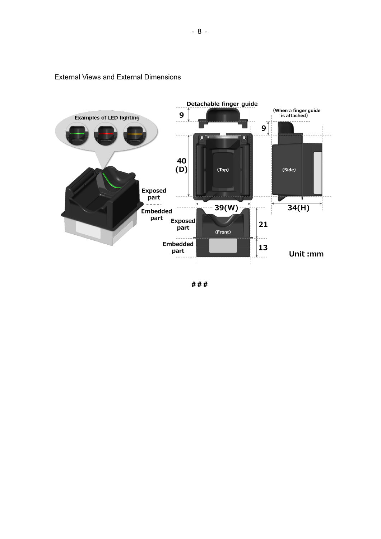

#### External Views and External Dimensions

**# # #**